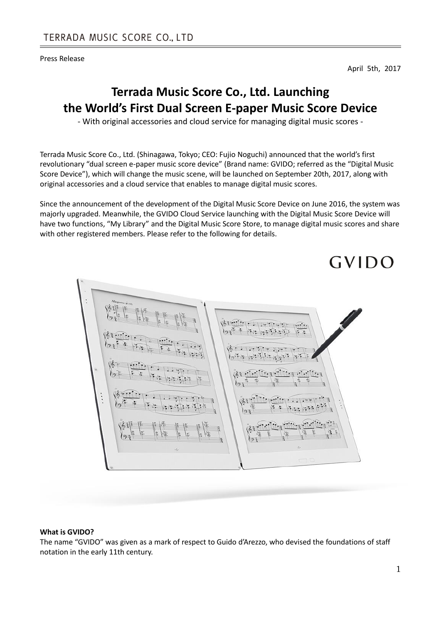Press Release

April 5th, 2017

# **Terrada Music Score Co., Ltd. Launching the World's First Dual Screen E-paper Music Score Device**

- With original accessories and cloud service for managing digital music scores -

Terrada Music Score Co., Ltd. (Shinagawa, Tokyo; CEO: Fujio Noguchi) announced that the world's first revolutionary "dual screen e-paper music score device" (Brand name: GVIDO; referred as the "Digital Music Score Device"), which will change the music scene, will be launched on September 20th, 2017, along with original accessories and a cloud service that enables to manage digital music scores.

Since the announcement of the development of the Digital Music Score Device on June 2016, the system was majorly upgraded. Meanwhile, the GVIDO Cloud Service launching with the Digital Music Score Device will have two functions, "My Library" and the Digital Music Score Store, to manage digital music scores and share with other registered members. Please refer to the following for details.



#### **What is GVIDO?**

The name "GVIDO" was given as a mark of respect to Guido d'Arezzo, who devised the foundations of staff notation in the early 11th century.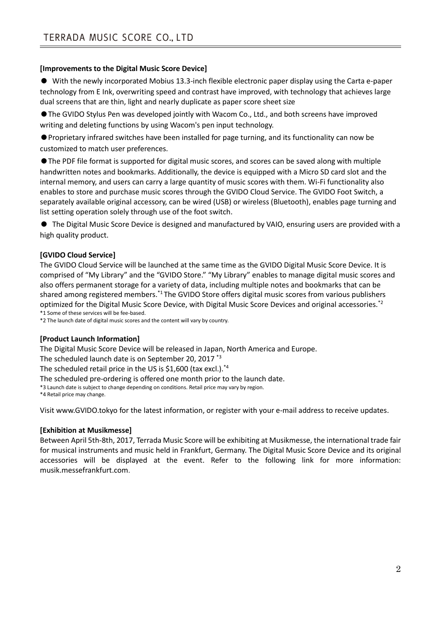# **[Improvements to the Digital Music Score Device]**

● With the newly incorporated Mobius 13.3-inch flexible electronic paper display using the Carta e-paper technology from E Ink, overwriting speed and contrast have improved, with technology that achieves large dual screens that are thin, light and nearly duplicate as paper score sheet size

●The GVIDO Stylus Pen was developed jointly with Wacom Co., Ltd., and both screens have improved writing and deleting functions by using Wacom's pen input technology.

●Proprietary infrared switches have been installed for page turning, and its functionality can now be customized to match user preferences.

●The PDF file format is supported for digital music scores, and scores can be saved along with multiple handwritten notes and bookmarks. Additionally, the device is equipped with a Micro SD card slot and the internal memory, and users can carry a large quantity of music scores with them. Wi-Fi functionality also enables to store and purchase music scores through the GVIDO Cloud Service. The GVIDO Foot Switch, a separately available original accessory, can be wired (USB) or wireless (Bluetooth), enables page turning and list setting operation solely through use of the foot switch.

● The Digital Music Score Device is designed and manufactured by VAIO, ensuring users are provided with a high quality product.

## **[GVIDO Cloud Service]**

The GVIDO Cloud Service will be launched at the same time as the GVIDO Digital Music Score Device. It is comprised of "My Library" and the "GVIDO Store." "My Library" enables to manage digital music scores and also offers permanent storage for a variety of data, including multiple notes and bookmarks that can be shared among registered members.\*1 The GVIDO Store offers digital music scores from various publishers optimized for the Digital Music Score Device, with Digital Music Score Devices and original accessories.\*2 \*1 Some of these services will be fee-based.

\*2 The launch date of digital music scores and the content will vary by country.

#### **[Product Launch Information]**

The Digital Music Score Device will be released in Japan, North America and Europe.

The scheduled launch date is on September 20, 2017 \*3

The scheduled retail price in the US is \$1,600 (tax excl.). $*$ <sup>4</sup>

The scheduled pre-ordering is offered one month prior to the launch date.

\*3 Launch date is subject to change depending on conditions. Retail price may vary by region.

\*4 Retail price may change.

Visit [www.GVIDO.tokyo](http://www.gvido.tokyo/) for the latest information, or register with your e-mail address to receive updates.

#### **[Exhibition at Musikmesse]**

Between April 5th-8th, 2017, Terrada Music Score will be exhibiting at Musikmesse, the international trade fair for musical instruments and music held in Frankfurt, Germany. The Digital Music Score Device and its original accessories will be displayed at the event. Refer to the following link for more information: musik.messefrankfurt.com.